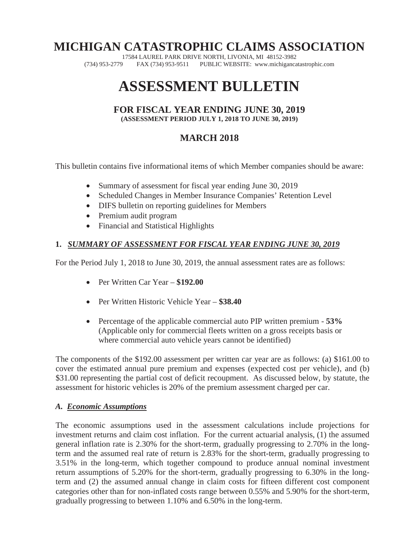## **MICHIGAN CATASTROPHIC CLAIMS ASSOCIATION**

17584 LAUREL PARK DRIVE NORTH, LIVONIA, MI 48152-3982<br>(734) 953-2779 FAX (734) 953-9511 PUBLIC WEBSITE: www.michiganca FAX (734) 953-9511 PUBLIC WEBSITE: www.michigancatastrophic.com

# **ASSESSMENT BULLETIN**

#### **FOR FISCAL YEAR ENDING JUNE 30, 2019 (ASSESSMENT PERIOD JULY 1, 2018 TO JUNE 30, 2019)**

### **MARCH 2018**

This bulletin contains five informational items of which Member companies should be aware:

- Summary of assessment for fiscal year ending June 30, 2019
- Scheduled Changes in Member Insurance Companies' Retention Level
- DIFS bulletin on reporting guidelines for Members
- Premium audit program
- Financial and Statistical Highlights

#### **1.** *SUMMARY OF ASSESSMENT FOR FISCAL YEAR ENDING JUNE 30, 2019*

For the Period July 1, 2018 to June 30, 2019, the annual assessment rates are as follows:

- $\bullet$  Per Written Car Year  $-$  \$192.00
- Per Written Historic Vehicle Year **\$38.40**
- x Percentage of the applicable commercial auto PIP written premium **53%** (Applicable only for commercial fleets written on a gross receipts basis or where commercial auto vehicle years cannot be identified)

The components of the \$192.00 assessment per written car year are as follows: (a) \$161.00 to cover the estimated annual pure premium and expenses (expected cost per vehicle), and (b) \$31.00 representing the partial cost of deficit recoupment. As discussed below, by statute, the assessment for historic vehicles is 20% of the premium assessment charged per car.

#### *A. Economic Assumptions*

The economic assumptions used in the assessment calculations include projections for investment returns and claim cost inflation. For the current actuarial analysis, (1) the assumed general inflation rate is 2.30% for the short-term, gradually progressing to 2.70% in the longterm and the assumed real rate of return is 2.83% for the short-term, gradually progressing to 3.51% in the long-term, which together compound to produce annual nominal investment return assumptions of 5.20% for the short-term, gradually progressing to 6.30% in the longterm and (2) the assumed annual change in claim costs for fifteen different cost component categories other than for non-inflated costs range between 0.55% and 5.90% for the short-term, gradually progressing to between 1.10% and 6.50% in the long-term.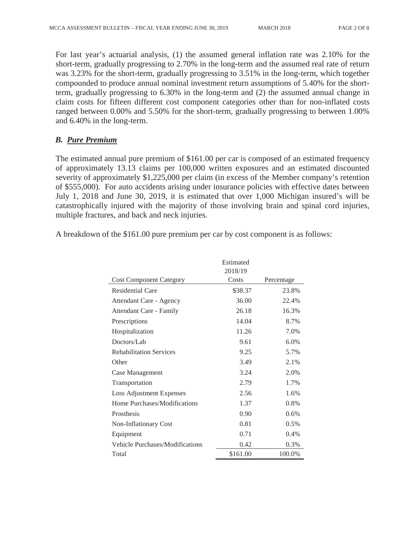For last year's actuarial analysis, (1) the assumed general inflation rate was 2.10% for the short-term, gradually progressing to 2.70% in the long-term and the assumed real rate of return was 3.23% for the short-term, gradually progressing to 3.51% in the long-term, which together compounded to produce annual nominal investment return assumptions of 5.40% for the shortterm, gradually progressing to 6.30% in the long-term and (2) the assumed annual change in claim costs for fifteen different cost component categories other than for non-inflated costs ranged between 0.00% and 5.50% for the short-term, gradually progressing to between 1.00% and 6.40% in the long-term.

#### *B. Pure Premium*

The estimated annual pure premium of \$161.00 per car is composed of an estimated frequency of approximately 13.13 claims per 100,000 written exposures and an estimated discounted severity of approximately \$1,225,000 per claim (in excess of the Member company's retention of \$555,000). For auto accidents arising under insurance policies with effective dates between July 1, 2018 and June 30, 2019, it is estimated that over 1,000 Michigan insured's will be catastrophically injured with the majority of those involving brain and spinal cord injuries, multiple fractures, and back and neck injuries.

A breakdown of the \$161.00 pure premium per car by cost component is as follows:

|                                 | Estimated |            |  |
|---------------------------------|-----------|------------|--|
|                                 | 2018/19   |            |  |
| <b>Cost Component Category</b>  | Costs     | Percentage |  |
| Residential Care                | \$38.37   | 23.8%      |  |
| <b>Attendant Care - Agency</b>  | 36.00     | 22.4%      |  |
| Attendant Care - Family         | 26.18     | 16.3%      |  |
| Prescriptions                   | 14.04     | 8.7%       |  |
| Hospitalization                 | 11.26     | 7.0%       |  |
| Doctors/Lab                     | 9.61      | 6.0%       |  |
| <b>Rehabilitation Services</b>  | 9.25      | 5.7%       |  |
| Other                           | 3.49      | 2.1%       |  |
| Case Management                 | 3.24      | 2.0%       |  |
| Transportation                  | 2.79      | 1.7%       |  |
| <b>Loss Adjustment Expenses</b> | 2.56      | 1.6%       |  |
| Home Purchases/Modifications    | 1.37      | 0.8%       |  |
| Prosthesis                      | 0.90      | 0.6%       |  |
| Non-Inflationary Cost           | 0.81      | 0.5%       |  |
| Equipment                       | 0.71      | 0.4%       |  |
| Vehicle Purchases/Modifications | 0.42      | 0.3%       |  |
| Total                           | \$161.00  | 100.0%     |  |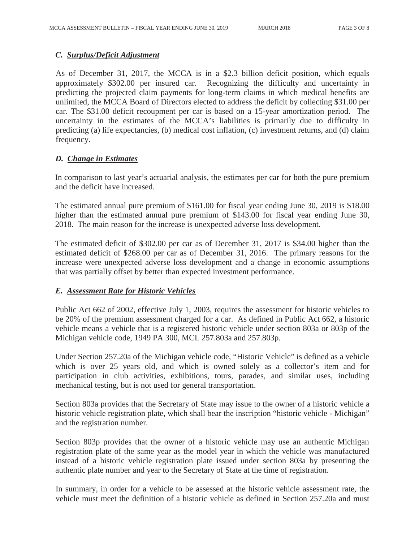#### *C. Surplus/Deficit Adjustment*

As of December 31, 2017, the MCCA is in a \$2.3 billion deficit position, which equals approximately \$302.00 per insured car. Recognizing the difficulty and uncertainty in predicting the projected claim payments for long-term claims in which medical benefits are unlimited, the MCCA Board of Directors elected to address the deficit by collecting \$31.00 per car. The \$31.00 deficit recoupment per car is based on a 15-year amortization period. The uncertainty in the estimates of the MCCA's liabilities is primarily due to difficulty in predicting (a) life expectancies, (b) medical cost inflation, (c) investment returns, and (d) claim frequency.

#### *D. Change in Estimates*

 In comparison to last year's actuarial analysis, the estimates per car for both the pure premium and the deficit have increased.

 The estimated annual pure premium of \$161.00 for fiscal year ending June 30, 2019 is \$18.00 higher than the estimated annual pure premium of \$143.00 for fiscal year ending June 30, 2018. The main reason for the increase is unexpected adverse loss development.

 The estimated deficit of \$302.00 per car as of December 31, 2017 is \$34.00 higher than the estimated deficit of \$268.00 per car as of December 31, 2016. The primary reasons for the increase were unexpected adverse loss development and a change in economic assumptions that was partially offset by better than expected investment performance.

#### *E. Assessment Rate for Historic Vehicles*

Public Act 662 of 2002, effective July 1, 2003, requires the assessment for historic vehicles to be 20% of the premium assessment charged for a car. As defined in Public Act 662, a historic vehicle means a vehicle that is a registered historic vehicle under section 803a or 803p of the Michigan vehicle code, 1949 PA 300, MCL 257.803a and 257.803p.

Under Section 257.20a of the Michigan vehicle code, "Historic Vehicle" is defined as a vehicle which is over 25 years old, and which is owned solely as a collector's item and for participation in club activities, exhibitions, tours, parades, and similar uses, including mechanical testing, but is not used for general transportation.

Section 803a provides that the Secretary of State may issue to the owner of a historic vehicle a historic vehicle registration plate, which shall bear the inscription "historic vehicle - Michigan" and the registration number.

Section 803p provides that the owner of a historic vehicle may use an authentic Michigan registration plate of the same year as the model year in which the vehicle was manufactured instead of a historic vehicle registration plate issued under section 803a by presenting the authentic plate number and year to the Secretary of State at the time of registration.

In summary, in order for a vehicle to be assessed at the historic vehicle assessment rate, the vehicle must meet the definition of a historic vehicle as defined in Section 257.20a and must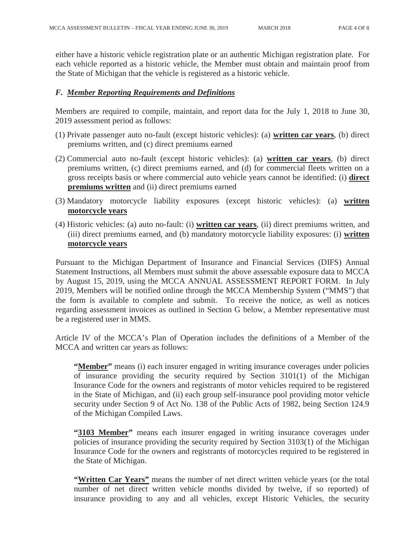either have a historic vehicle registration plate or an authentic Michigan registration plate. For each vehicle reported as a historic vehicle, the Member must obtain and maintain proof from the State of Michigan that the vehicle is registered as a historic vehicle.

#### *F. Member Reporting Requirements and Definitions*

Members are required to compile, maintain, and report data for the July 1, 2018 to June 30, 2019 assessment period as follows:

- (1) Private passenger auto no-fault (except historic vehicles): (a) **written car years**, (b) direct premiums written, and (c) direct premiums earned
- (2) Commercial auto no-fault (except historic vehicles): (a) **written car years**, (b) direct premiums written, (c) direct premiums earned, and (d) for commercial fleets written on a gross receipts basis or where commercial auto vehicle years cannot be identified: (i) **direct premiums written** and (ii) direct premiums earned
- (3) Mandatory motorcycle liability exposures (except historic vehicles): (a) **written motorcycle years**
- (4) Historic vehicles: (a) auto no-fault: (i) **written car years**, (ii) direct premiums written, and (iii) direct premiums earned, and (b) mandatory motorcycle liability exposures: (i) **written motorcycle years**

Pursuant to the Michigan Department of Insurance and Financial Services (DIFS) Annual Statement Instructions, all Members must submit the above assessable exposure data to MCCA by August 15, 2019, using the MCCA ANNUAL ASSESSMENT REPORT FORM. In July 2019, Members will be notified online through the MCCA Membership System ("MMS") that the form is available to complete and submit. To receive the notice, as well as notices regarding assessment invoices as outlined in Section G below, a Member representative must be a registered user in MMS.

Article IV of the MCCA's Plan of Operation includes the definitions of a Member of the MCCA and written car years as follows:

**"Member"** means (i) each insurer engaged in writing insurance coverages under policies of insurance providing the security required by Section 3101(1) of the Michigan Insurance Code for the owners and registrants of motor vehicles required to be registered in the State of Michigan, and (ii) each group self-insurance pool providing motor vehicle security under Section 9 of Act No. 138 of the Public Acts of 1982, being Section 124.9 of the Michigan Compiled Laws.

**"3103 Member"** means each insurer engaged in writing insurance coverages under policies of insurance providing the security required by Section 3103(1) of the Michigan Insurance Code for the owners and registrants of motorcycles required to be registered in the State of Michigan.

**"Written Car Years"** means the number of net direct written vehicle years (or the total number of net direct written vehicle months divided by twelve, if so reported) of insurance providing to any and all vehicles, except Historic Vehicles, the security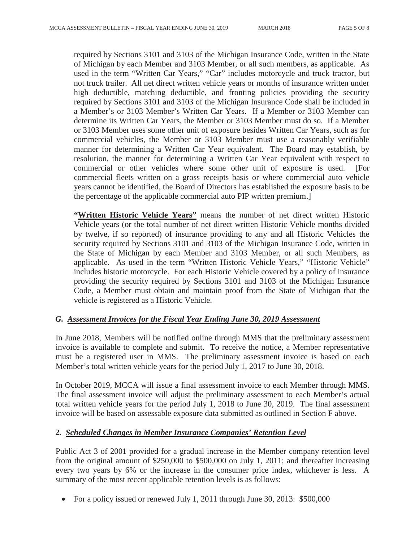required by Sections 3101 and 3103 of the Michigan Insurance Code, written in the State of Michigan by each Member and 3103 Member, or all such members, as applicable. As used in the term "Written Car Years," "Car" includes motorcycle and truck tractor, but not truck trailer. All net direct written vehicle years or months of insurance written under high deductible, matching deductible, and fronting policies providing the security required by Sections 3101 and 3103 of the Michigan Insurance Code shall be included in a Member's or 3103 Member's Written Car Years. If a Member or 3103 Member can determine its Written Car Years, the Member or 3103 Member must do so. If a Member or 3103 Member uses some other unit of exposure besides Written Car Years, such as for commercial vehicles, the Member or 3103 Member must use a reasonably verifiable manner for determining a Written Car Year equivalent. The Board may establish, by resolution, the manner for determining a Written Car Year equivalent with respect to commercial or other vehicles where some other unit of exposure is used. [For commercial fleets written on a gross receipts basis or where commercial auto vehicle years cannot be identified, the Board of Directors has established the exposure basis to be the percentage of the applicable commercial auto PIP written premium.]

**"Written Historic Vehicle Years"** means the number of net direct written Historic Vehicle years (or the total number of net direct written Historic Vehicle months divided by twelve, if so reported) of insurance providing to any and all Historic Vehicles the security required by Sections 3101 and 3103 of the Michigan Insurance Code, written in the State of Michigan by each Member and 3103 Member, or all such Members, as applicable. As used in the term "Written Historic Vehicle Years," "Historic Vehicle" includes historic motorcycle. For each Historic Vehicle covered by a policy of insurance providing the security required by Sections 3101 and 3103 of the Michigan Insurance Code, a Member must obtain and maintain proof from the State of Michigan that the vehicle is registered as a Historic Vehicle.

#### *G. Assessment Invoices for the Fiscal Year Ending June 30, 2019 Assessment*

In June 2018, Members will be notified online through MMS that the preliminary assessment invoice is available to complete and submit. To receive the notice, a Member representative must be a registered user in MMS. The preliminary assessment invoice is based on each Member's total written vehicle years for the period July 1, 2017 to June 30, 2018.

In October 2019, MCCA will issue a final assessment invoice to each Member through MMS. The final assessment invoice will adjust the preliminary assessment to each Member's actual total written vehicle years for the period July 1, 2018 to June 30, 2019. The final assessment invoice will be based on assessable exposure data submitted as outlined in Section F above.

#### **2***. Scheduled Changes in Member Insurance Companies' Retention Level*

Public Act 3 of 2001 provided for a gradual increase in the Member company retention level from the original amount of \$250,000 to \$500,000 on July 1, 2011; and thereafter increasing every two years by 6% or the increase in the consumer price index, whichever is less. A summary of the most recent applicable retention levels is as follows:

• For a policy issued or renewed July 1, 2011 through June 30, 2013:  $$500,000$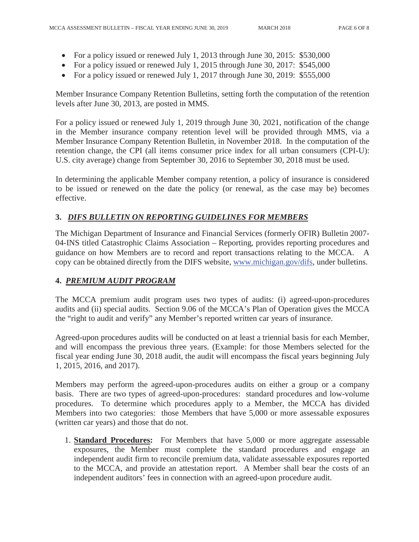- For a policy issued or renewed July 1, 2013 through June 30, 2015: \$530,000
- For a policy issued or renewed July 1, 2015 through June 30, 2017:  $$545,000$
- For a policy issued or renewed July 1, 2017 through June 30, 2019:  $$555,000$

Member Insurance Company Retention Bulletins, setting forth the computation of the retention levels after June 30, 2013, are posted in MMS.

For a policy issued or renewed July 1, 2019 through June 30, 2021, notification of the change in the Member insurance company retention level will be provided through MMS, via a Member Insurance Company Retention Bulletin, in November 2018. In the computation of the retention change, the CPI (all items consumer price index for all urban consumers (CPI-U): U.S. city average) change from September 30, 2016 to September 30, 2018 must be used.

In determining the applicable Member company retention, a policy of insurance is considered to be issued or renewed on the date the policy (or renewal, as the case may be) becomes effective.

#### **3.** *DIFS BULLETIN ON REPORTING GUIDELINES FOR MEMBERS*

The Michigan Department of Insurance and Financial Services (formerly OFIR) Bulletin 2007- 04-INS titled Catastrophic Claims Association – Reporting, provides reporting procedures and guidance on how Members are to record and report transactions relating to the MCCA. A copy can be obtained directly from the DIFS website, www.michigan.gov/difs, under bulletins.

#### **4.** *PREMIUM AUDIT PROGRAM*

The MCCA premium audit program uses two types of audits: (i) agreed-upon-procedures audits and (ii) special audits. Section 9.06 of the MCCA's Plan of Operation gives the MCCA the "right to audit and verify" any Member's reported written car years of insurance.

Agreed-upon procedures audits will be conducted on at least a triennial basis for each Member, and will encompass the previous three years. (Example: for those Members selected for the fiscal year ending June 30, 2018 audit, the audit will encompass the fiscal years beginning July 1, 2015, 2016, and 2017).

 Members may perform the agreed-upon-procedures audits on either a group or a company basis. There are two types of agreed-upon-procedures: standard procedures and low-volume procedures. To determine which procedures apply to a Member, the MCCA has divided Members into two categories: those Members that have 5,000 or more assessable exposures (written car years) and those that do not.

1. **Standard Procedures:** For Members that have 5,000 or more aggregate assessable exposures, the Member must complete the standard procedures and engage an independent audit firm to reconcile premium data, validate assessable exposures reported to the MCCA, and provide an attestation report. A Member shall bear the costs of an independent auditors' fees in connection with an agreed-upon procedure audit.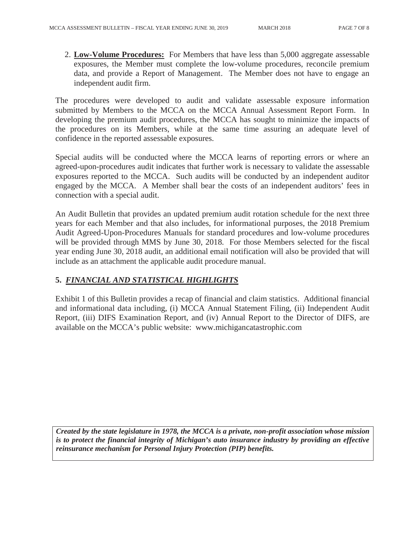2. **Low-Volume Procedures:** For Members that have less than 5,000 aggregate assessable exposures, the Member must complete the low-volume procedures, reconcile premium data, and provide a Report of Management. The Member does not have to engage an independent audit firm.

The procedures were developed to audit and validate assessable exposure information submitted by Members to the MCCA on the MCCA Annual Assessment Report Form. In developing the premium audit procedures, the MCCA has sought to minimize the impacts of the procedures on its Members, while at the same time assuring an adequate level of confidence in the reported assessable exposures.

Special audits will be conducted where the MCCA learns of reporting errors or where an agreed-upon-procedures audit indicates that further work is necessary to validate the assessable exposures reported to the MCCA. Such audits will be conducted by an independent auditor engaged by the MCCA. A Member shall bear the costs of an independent auditors' fees in connection with a special audit.

An Audit Bulletin that provides an updated premium audit rotation schedule for the next three years for each Member and that also includes, for informational purposes, the 2018 Premium Audit Agreed-Upon-Procedures Manuals for standard procedures and low-volume procedures will be provided through MMS by June 30, 2018. For those Members selected for the fiscal year ending June 30, 2018 audit, an additional email notification will also be provided that will include as an attachment the applicable audit procedure manual.

#### **5.** *FINANCIAL AND STATISTICAL HIGHLIGHTS*

Exhibit 1 of this Bulletin provides a recap of financial and claim statistics. Additional financial and informational data including, (i) MCCA Annual Statement Filing, (ii) Independent Audit Report, (iii) DIFS Examination Report, and (iv) Annual Report to the Director of DIFS, are available on the MCCA's public website: www.michigancatastrophic.com

*Created by the state legislature in 1978, the MCCA is a private, non-profit association whose mission is to protect the financial integrity of Michigan's auto insurance industry by providing an effective reinsurance mechanism for Personal Injury Protection (PIP) benefits.*